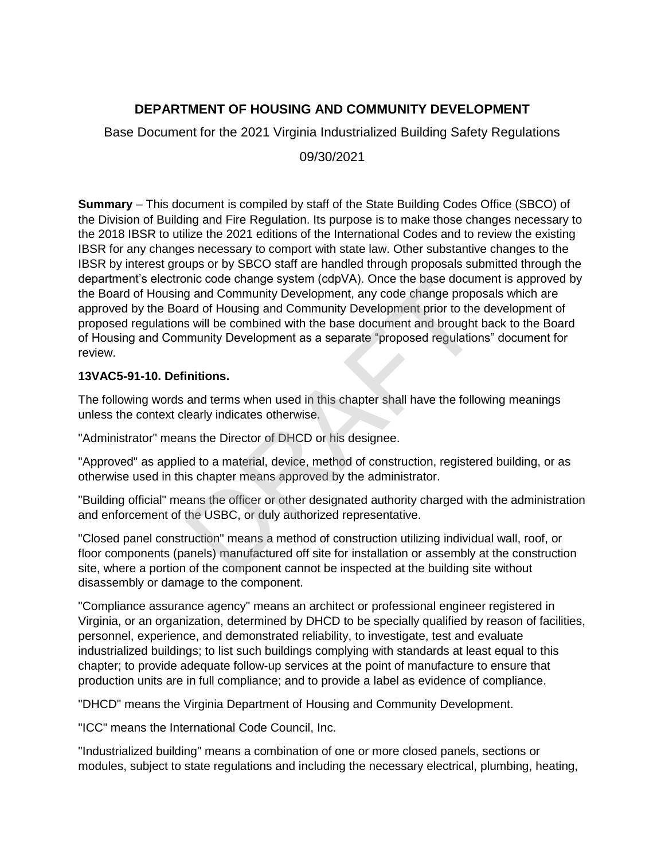# **DEPARTMENT OF HOUSING AND COMMUNITY DEVELOPMENT**

Base Document for the 2021 Virginia Industrialized Building Safety Regulations

09/30/2021

**Summary** – This document is compiled by staff of the State Building Codes Office (SBCO) of the Division of Building and Fire Regulation. Its purpose is to make those changes necessary to the 2018 IBSR to utilize the 2021 editions of the International Codes and to review the existing IBSR for any changes necessary to comport with state law. Other substantive changes to the IBSR by interest groups or by SBCO staff are handled through proposals submitted through the department's electronic code change system (cdpVA). Once the base document is approved by the Board of Housing and Community Development, any code change proposals which are approved by the Board of Housing and Community Development prior to the development of proposed regulations will be combined with the base document and brought back to the Board of Housing and Community Development as a separate "proposed regulations" document for review. The code change system (cupvA). Once the base docum<br>g and Community Development, any code change proporard of Housing and Community Development prior to the<br>s will be combined with the base document and brought<br>munity Deve

## **13VAC5-91-10. Definitions.**

The following words and terms when used in this chapter shall have the following meanings unless the context clearly indicates otherwise.

"Administrator" means the Director of DHCD or his designee.

"Approved" as applied to a material, device, method of construction, registered building, or as otherwise used in this chapter means approved by the administrator.

"Building official" means the officer or other designated authority charged with the administration and enforcement of the USBC, or duly authorized representative.

"Closed panel construction" means a method of construction utilizing individual wall, roof, or floor components (panels) manufactured off site for installation or assembly at the construction site, where a portion of the component cannot be inspected at the building site without disassembly or damage to the component.

"Compliance assurance agency" means an architect or professional engineer registered in Virginia, or an organization, determined by DHCD to be specially qualified by reason of facilities, personnel, experience, and demonstrated reliability, to investigate, test and evaluate industrialized buildings; to list such buildings complying with standards at least equal to this chapter; to provide adequate follow-up services at the point of manufacture to ensure that production units are in full compliance; and to provide a label as evidence of compliance.

"DHCD" means the Virginia Department of Housing and Community Development.

"ICC" means the International Code Council, Inc.

"Industrialized building" means a combination of one or more closed panels, sections or modules, subject to state regulations and including the necessary electrical, plumbing, heating,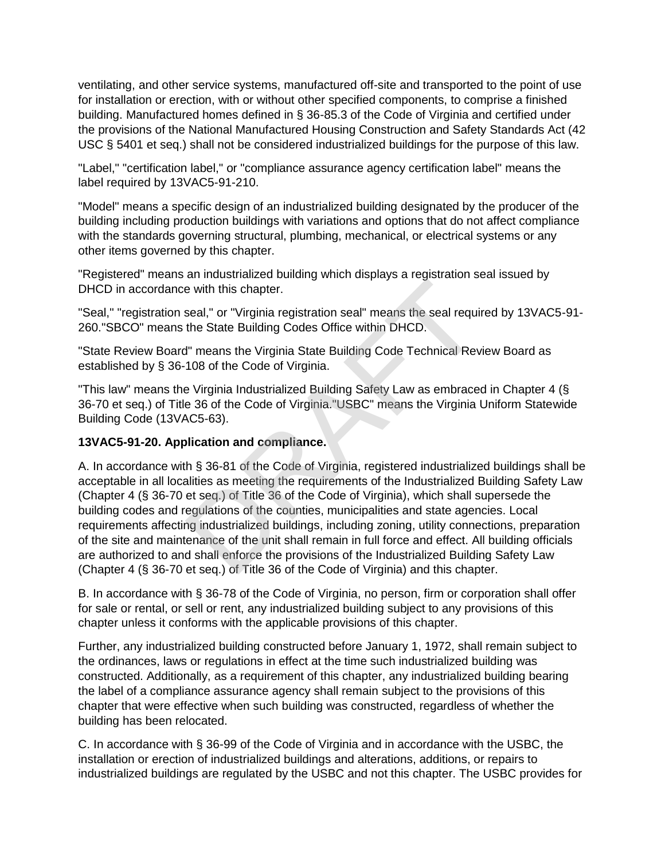ventilating, and other service systems, manufactured off-site and transported to the point of use for installation or erection, with or without other specified components, to comprise a finished building. Manufactured homes defined in § 36-85.3 of the Code of Virginia and certified under the provisions of the National Manufactured Housing Construction and Safety Standards Act (42 USC § 5401 et seq.) shall not be considered industrialized buildings for the purpose of this law.

"Label," "certification label," or "compliance assurance agency certification label" means the label required by 13VAC5-91-210.

"Model" means a specific design of an industrialized building designated by the producer of the building including production buildings with variations and options that do not affect compliance with the standards governing structural, plumbing, mechanical, or electrical systems or any other items governed by this chapter.

"Registered" means an industrialized building which displays a registration seal issued by DHCD in accordance with this chapter.

"Seal," "registration seal," or "Virginia registration seal" means the seal required by 13VAC5-91- 260."SBCO" means the State Building Codes Office within DHCD.

"State Review Board" means the Virginia State Building Code Technical Review Board as established by § 36-108 of the Code of Virginia.

"This law" means the Virginia Industrialized Building Safety Law as embraced in Chapter 4 (§ 36-70 et seq.) of Title 36 of the Code of Virginia."USBC" means the Virginia Uniform Statewide Building Code (13VAC5-63).

# **13VAC5-91-20. Application and compliance.**

A. In accordance with § 36-81 of the Code of Virginia, registered industrialized buildings shall be acceptable in all localities as meeting the requirements of the Industrialized Building Safety Law (Chapter 4 (§ 36-70 et seq.) of Title 36 of the Code of Virginia), which shall supersede the building codes and regulations of the counties, municipalities and state agencies. Local requirements affecting industrialized buildings, including zoning, utility connections, preparation of the site and maintenance of the unit shall remain in full force and effect. All building officials are authorized to and shall enforce the provisions of the Industrialized Building Safety Law (Chapter 4 (§ 36-70 et seq.) of Title 36 of the Code of Virginia) and this chapter. e with this chapter.<br>
seal," or "Virginia registration seal" means the seal requi<br>
the State Building Codes Office within DHCD.<br>
I" means the Virginia State Building Code Technical Rev<br>
108 of the Code of Virginia.<br>
2 Virg

B. In accordance with § 36-78 of the Code of Virginia, no person, firm or corporation shall offer for sale or rental, or sell or rent, any industrialized building subject to any provisions of this chapter unless it conforms with the applicable provisions of this chapter.

Further, any industrialized building constructed before January 1, 1972, shall remain subject to the ordinances, laws or regulations in effect at the time such industrialized building was constructed. Additionally, as a requirement of this chapter, any industrialized building bearing the label of a compliance assurance agency shall remain subject to the provisions of this chapter that were effective when such building was constructed, regardless of whether the building has been relocated.

C. In accordance with § 36-99 of the Code of Virginia and in accordance with the USBC, the installation or erection of industrialized buildings and alterations, additions, or repairs to industrialized buildings are regulated by the USBC and not this chapter. The USBC provides for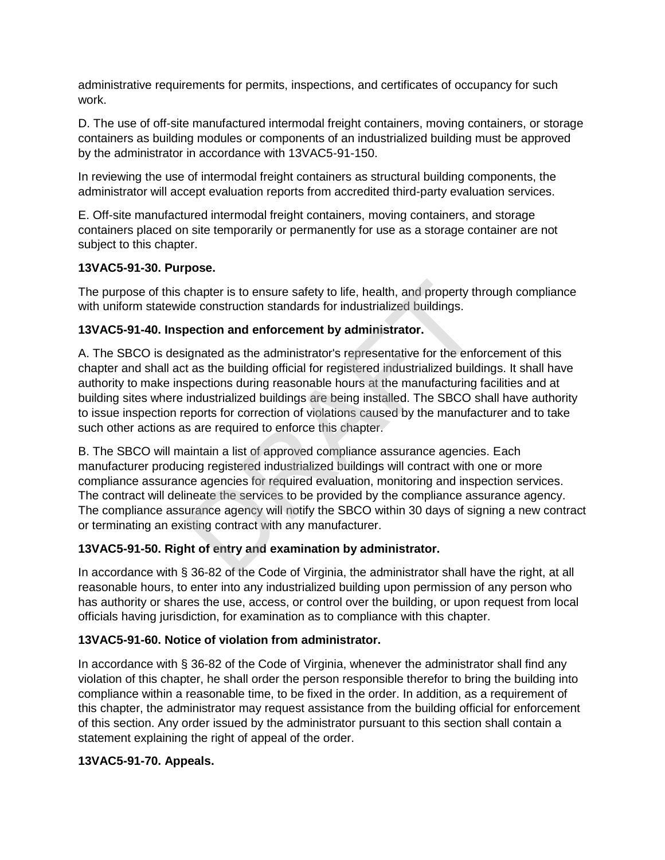administrative requirements for permits, inspections, and certificates of occupancy for such work.

D. The use of off-site manufactured intermodal freight containers, moving containers, or storage containers as building modules or components of an industrialized building must be approved by the administrator in accordance with 13VAC5-91-150.

In reviewing the use of intermodal freight containers as structural building components, the administrator will accept evaluation reports from accredited third-party evaluation services.

E. Off-site manufactured intermodal freight containers, moving containers, and storage containers placed on site temporarily or permanently for use as a storage container are not subject to this chapter.

## **13VAC5-91-30. Purpose.**

The purpose of this chapter is to ensure safety to life, health, and property through compliance with uniform statewide construction standards for industrialized buildings.

## **13VAC5-91-40. Inspection and enforcement by administrator.**

A. The SBCO is designated as the administrator's representative for the enforcement of this chapter and shall act as the building official for registered industrialized buildings. It shall have authority to make inspections during reasonable hours at the manufacturing facilities and at building sites where industrialized buildings are being installed. The SBCO shall have authority to issue inspection reports for correction of violations caused by the manufacturer and to take such other actions as are required to enforce this chapter. chapter is to ensure safety to life, health, and property the construction standards for industrialized buildings.<br> **DRAFT DRAFT DRAFT DRAFT DRAFT DRAFT DRAFT DRAFT DRAFT DRAFT DRAFT DRAFT DRAFT DRAFT DRAFT DRAFT DRAFT DRA** 

B. The SBCO will maintain a list of approved compliance assurance agencies. Each manufacturer producing registered industrialized buildings will contract with one or more compliance assurance agencies for required evaluation, monitoring and inspection services. The contract will delineate the services to be provided by the compliance assurance agency. The compliance assurance agency will notify the SBCO within 30 days of signing a new contract or terminating an existing contract with any manufacturer.

## **13VAC5-91-50. Right of entry and examination by administrator.**

In accordance with § 36-82 of the Code of Virginia, the administrator shall have the right, at all reasonable hours, to enter into any industrialized building upon permission of any person who has authority or shares the use, access, or control over the building, or upon request from local officials having jurisdiction, for examination as to compliance with this chapter.

# **13VAC5-91-60. Notice of violation from administrator.**

In accordance with § 36-82 of the Code of Virginia, whenever the administrator shall find any violation of this chapter, he shall order the person responsible therefor to bring the building into compliance within a reasonable time, to be fixed in the order. In addition, as a requirement of this chapter, the administrator may request assistance from the building official for enforcement of this section. Any order issued by the administrator pursuant to this section shall contain a statement explaining the right of appeal of the order.

# **13VAC5-91-70. Appeals.**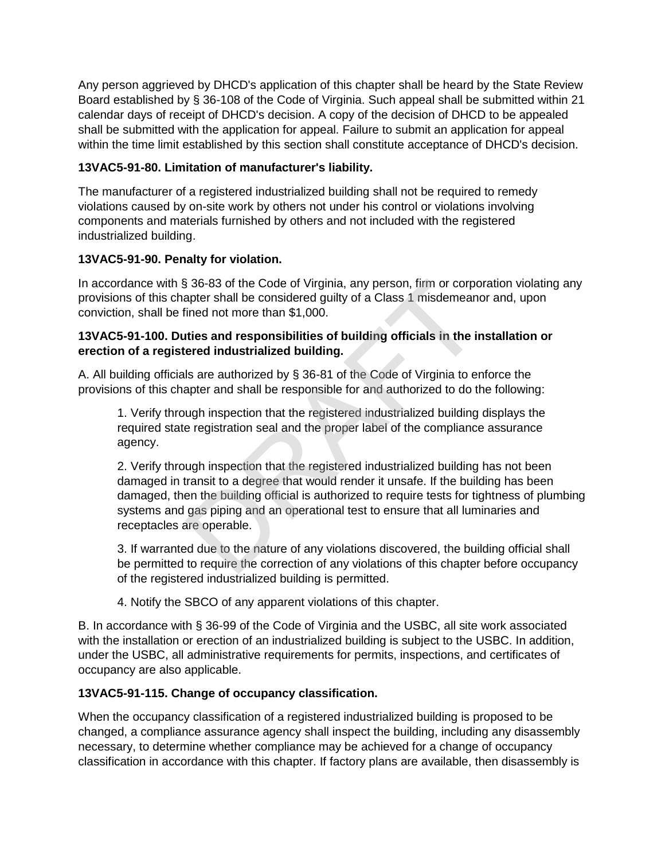Any person aggrieved by DHCD's application of this chapter shall be heard by the State Review Board established by § 36-108 of the Code of Virginia. Such appeal shall be submitted within 21 calendar days of receipt of DHCD's decision. A copy of the decision of DHCD to be appealed shall be submitted with the application for appeal. Failure to submit an application for appeal within the time limit established by this section shall constitute acceptance of DHCD's decision.

# **13VAC5-91-80. Limitation of manufacturer's liability.**

The manufacturer of a registered industrialized building shall not be required to remedy violations caused by on-site work by others not under his control or violations involving components and materials furnished by others and not included with the registered industrialized building.

# **13VAC5-91-90. Penalty for violation.**

In accordance with § 36-83 of the Code of Virginia, any person, firm or corporation violating any provisions of this chapter shall be considered guilty of a Class 1 misdemeanor and, upon conviction, shall be fined not more than \$1,000.

# **13VAC5-91-100. Duties and responsibilities of building officials in the installation or erection of a registered industrialized building.**

A. All building officials are authorized by § 36-81 of the Code of Virginia to enforce the provisions of this chapter and shall be responsible for and authorized to do the following:

1. Verify through inspection that the registered industrialized building displays the required state registration seal and the proper label of the compliance assurance agency.

2. Verify through inspection that the registered industrialized building has not been damaged in transit to a degree that would render it unsafe. If the building has been damaged, then the building official is authorized to require tests for tightness of plumbing systems and gas piping and an operational test to ensure that all luminaries and receptacles are operable. 36-83 of the Code of Virginia, any person, firm or corpc<br>apter shall be considered guilty of a Class 1 misdemeand<br>ined not more than \$1,000.<br>ties and responsibilities of building officials in the ir<br>ered industrialized bui

3. If warranted due to the nature of any violations discovered, the building official shall be permitted to require the correction of any violations of this chapter before occupancy of the registered industrialized building is permitted.

4. Notify the SBCO of any apparent violations of this chapter.

B. In accordance with § 36-99 of the Code of Virginia and the USBC, all site work associated with the installation or erection of an industrialized building is subject to the USBC. In addition, under the USBC, all administrative requirements for permits, inspections, and certificates of occupancy are also applicable.

# **13VAC5-91-115. Change of occupancy classification.**

When the occupancy classification of a registered industrialized building is proposed to be changed, a compliance assurance agency shall inspect the building, including any disassembly necessary, to determine whether compliance may be achieved for a change of occupancy classification in accordance with this chapter. If factory plans are available, then disassembly is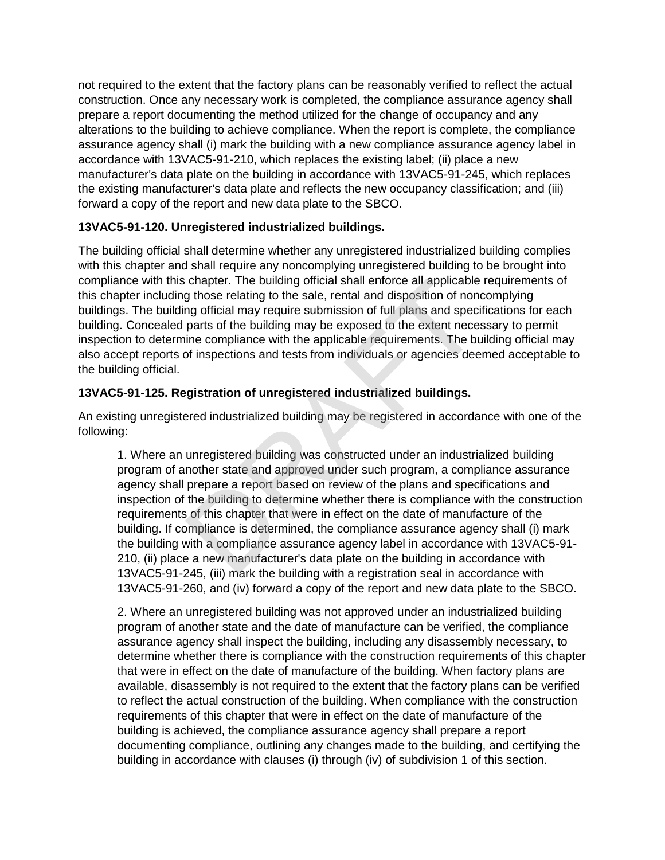not required to the extent that the factory plans can be reasonably verified to reflect the actual construction. Once any necessary work is completed, the compliance assurance agency shall prepare a report documenting the method utilized for the change of occupancy and any alterations to the building to achieve compliance. When the report is complete, the compliance assurance agency shall (i) mark the building with a new compliance assurance agency label in accordance with 13VAC5-91-210, which replaces the existing label; (ii) place a new manufacturer's data plate on the building in accordance with 13VAC5-91-245, which replaces the existing manufacturer's data plate and reflects the new occupancy classification; and (iii) forward a copy of the report and new data plate to the SBCO.

# **13VAC5-91-120. Unregistered industrialized buildings.**

The building official shall determine whether any unregistered industrialized building complies with this chapter and shall require any noncomplying unregistered building to be brought into compliance with this chapter. The building official shall enforce all applicable requirements of this chapter including those relating to the sale, rental and disposition of noncomplying buildings. The building official may require submission of full plans and specifications for each building. Concealed parts of the building may be exposed to the extent necessary to permit inspection to determine compliance with the applicable requirements. The building official may also accept reports of inspections and tests from individuals or agencies deemed acceptable to the building official.

# **13VAC5-91-125. Registration of unregistered industrialized buildings.**

An existing unregistered industrialized building may be registered in accordance with one of the following:

1. Where an unregistered building was constructed under an industrialized building program of another state and approved under such program, a compliance assurance agency shall prepare a report based on review of the plans and specifications and inspection of the building to determine whether there is compliance with the construction requirements of this chapter that were in effect on the date of manufacture of the building. If compliance is determined, the compliance assurance agency shall (i) mark the building with a compliance assurance agency label in accordance with 13VAC5-91- 210, (ii) place a new manufacturer's data plate on the building in accordance with 13VAC5-91-245, (iii) mark the building with a registration seal in accordance with 13VAC5-91-260, and (iv) forward a copy of the report and new data plate to the SBCO. chapter. The building official shall enforce all applicable<br>g those relating to the sale, rental and disposition of non-<br>ng official may require submission of full plans and speci-<br>parts of the building may be exposed to t

2. Where an unregistered building was not approved under an industrialized building program of another state and the date of manufacture can be verified, the compliance assurance agency shall inspect the building, including any disassembly necessary, to determine whether there is compliance with the construction requirements of this chapter that were in effect on the date of manufacture of the building. When factory plans are available, disassembly is not required to the extent that the factory plans can be verified to reflect the actual construction of the building. When compliance with the construction requirements of this chapter that were in effect on the date of manufacture of the building is achieved, the compliance assurance agency shall prepare a report documenting compliance, outlining any changes made to the building, and certifying the building in accordance with clauses (i) through (iv) of subdivision 1 of this section.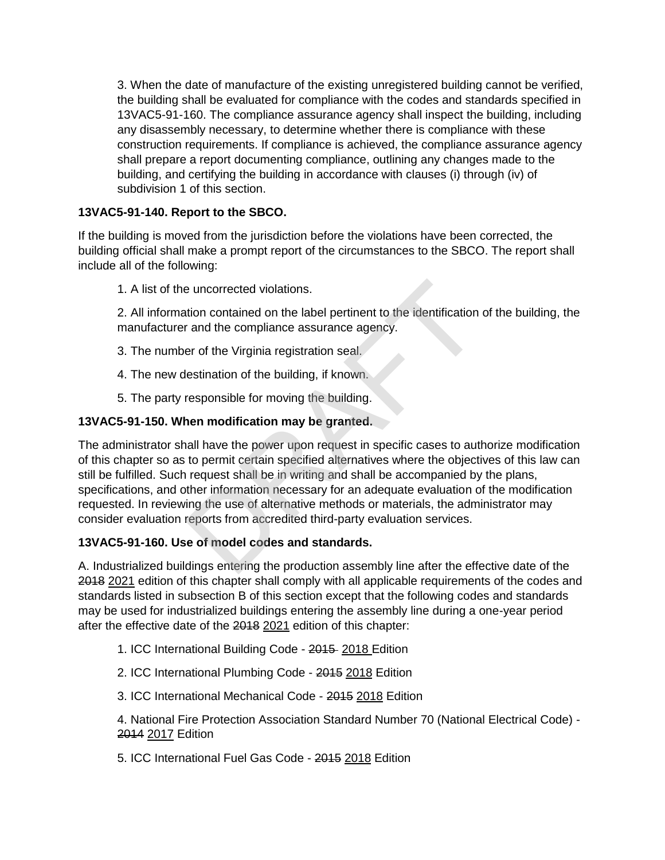3. When the date of manufacture of the existing unregistered building cannot be verified, the building shall be evaluated for compliance with the codes and standards specified in 13VAC5-91-160. The compliance assurance agency shall inspect the building, including any disassembly necessary, to determine whether there is compliance with these construction requirements. If compliance is achieved, the compliance assurance agency shall prepare a report documenting compliance, outlining any changes made to the building, and certifying the building in accordance with clauses (i) through (iv) of subdivision 1 of this section.

# **13VAC5-91-140. Report to the SBCO.**

If the building is moved from the jurisdiction before the violations have been corrected, the building official shall make a prompt report of the circumstances to the SBCO. The report shall include all of the following:

1. A list of the uncorrected violations.

2. All information contained on the label pertinent to the identification of the building, the manufacturer and the compliance assurance agency.

- 3. The number of the Virginia registration seal.
- 4. The new destination of the building, if known.
- 5. The party responsible for moving the building.

## **13VAC5-91-150. When modification may be granted.**

The administrator shall have the power upon request in specific cases to authorize modification of this chapter so as to permit certain specified alternatives where the objectives of this law can still be fulfilled. Such request shall be in writing and shall be accompanied by the plans, specifications, and other information necessary for an adequate evaluation of the modification requested. In reviewing the use of alternative methods or materials, the administrator may consider evaluation reports from accredited third-party evaluation services. e uncorrected violations.<br>
tion contained on the label pertinent to the identification<br>
r and the compliance assurance agency.<br>
er of the Virginia registration seal.<br>
lestination of the building, if known.<br>
responsible for

## **13VAC5-91-160. Use of model codes and standards.**

A. Industrialized buildings entering the production assembly line after the effective date of the 2018 2021 edition of this chapter shall comply with all applicable requirements of the codes and standards listed in subsection B of this section except that the following codes and standards may be used for industrialized buildings entering the assembly line during a one-year period after the effective date of the 2018 2021 edition of this chapter:

- 1. ICC International Building Code 2015 2018 Edition
- 2. ICC International Plumbing Code 2015 2018 Edition
- 3. ICC International Mechanical Code 2015 2018 Edition

4. National Fire Protection Association Standard Number 70 (National Electrical Code) - 2014 2017 Edition

5. ICC International Fuel Gas Code - 2015 2018 Edition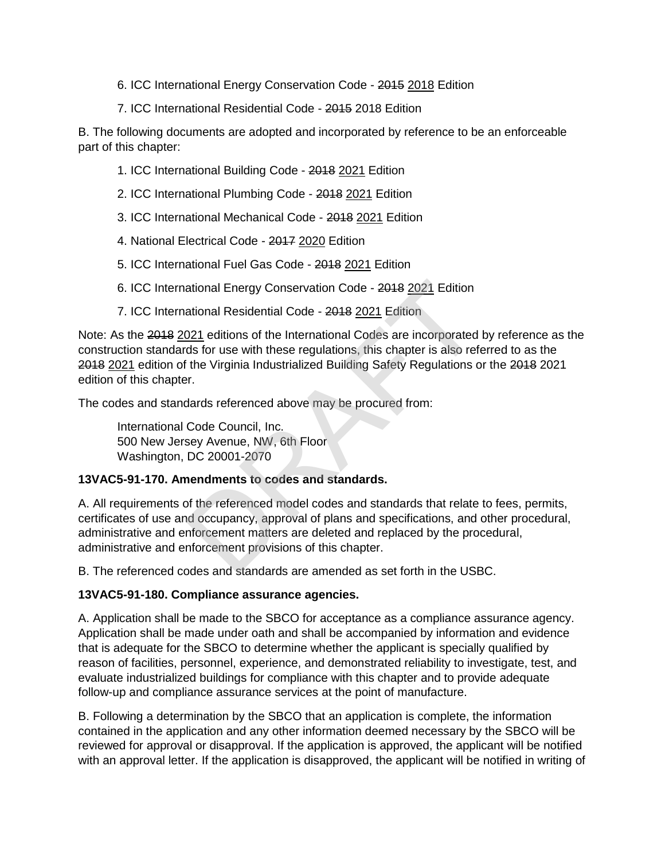- 6. ICC International Energy Conservation Code 2015 2018 Edition
- 7. ICC International Residential Code 2015 2018 Edition

B. The following documents are adopted and incorporated by reference to be an enforceable part of this chapter:

- 1. ICC International Building Code 2018 2021 Edition
- 2. ICC International Plumbing Code 2018 2021 Edition
- 3. ICC International Mechanical Code 2018 2021 Edition
- 4. National Electrical Code 2017 2020 Edition
- 5. ICC International Fuel Gas Code 2018 2021 Edition
- 6. ICC International Energy Conservation Code 2018 2021 Edition
- 7. ICC International Residential Code 2018 2021 Edition

Note: As the 2018 2021 editions of the International Codes are incorporated by reference as the construction standards for use with these regulations, this chapter is also referred to as the 2018 2021 edition of the Virginia Industrialized Building Safety Regulations or the 2018 2021 edition of this chapter.

The codes and standards referenced above may be procured from:

International Code Council, Inc. 500 New Jersey Avenue, NW, 6th Floor Washington, DC 20001-2070

## **13VAC5-91-170. Amendments to codes and standards.**

A. All requirements of the referenced model codes and standards that relate to fees, permits, certificates of use and occupancy, approval of plans and specifications, and other procedural, administrative and enforcement matters are deleted and replaced by the procedural, administrative and enforcement provisions of this chapter. ational Energy Conservation Code - 2018 <u>2021</u> Edition<br>ational Residential Code - 2018 <u>2021</u> Edition<br>021 editions of the International Codes are incorporated<br>ds for use with these regulations, this chapter is also ref<br>if

B. The referenced codes and standards are amended as set forth in the USBC.

## **13VAC5-91-180. Compliance assurance agencies.**

A. Application shall be made to the SBCO for acceptance as a compliance assurance agency. Application shall be made under oath and shall be accompanied by information and evidence that is adequate for the SBCO to determine whether the applicant is specially qualified by reason of facilities, personnel, experience, and demonstrated reliability to investigate, test, and evaluate industrialized buildings for compliance with this chapter and to provide adequate follow-up and compliance assurance services at the point of manufacture.

B. Following a determination by the SBCO that an application is complete, the information contained in the application and any other information deemed necessary by the SBCO will be reviewed for approval or disapproval. If the application is approved, the applicant will be notified with an approval letter. If the application is disapproved, the applicant will be notified in writing of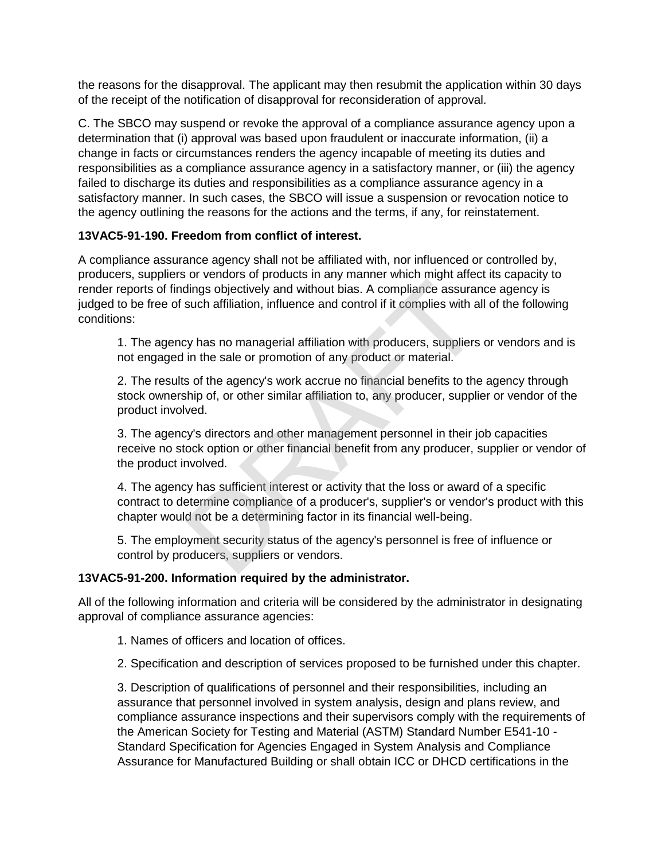the reasons for the disapproval. The applicant may then resubmit the application within 30 days of the receipt of the notification of disapproval for reconsideration of approval.

C. The SBCO may suspend or revoke the approval of a compliance assurance agency upon a determination that (i) approval was based upon fraudulent or inaccurate information, (ii) a change in facts or circumstances renders the agency incapable of meeting its duties and responsibilities as a compliance assurance agency in a satisfactory manner, or (iii) the agency failed to discharge its duties and responsibilities as a compliance assurance agency in a satisfactory manner. In such cases, the SBCO will issue a suspension or revocation notice to the agency outlining the reasons for the actions and the terms, if any, for reinstatement.

## **13VAC5-91-190. Freedom from conflict of interest.**

A compliance assurance agency shall not be affiliated with, nor influenced or controlled by, producers, suppliers or vendors of products in any manner which might affect its capacity to render reports of findings objectively and without bias. A compliance assurance agency is judged to be free of such affiliation, influence and control if it complies with all of the following conditions: dings objectively and without bias. A compliance assurar<br>such affiliation, influence and control if it compliance assurar<br>such affiliation, influence and control if it complies with a<br>sy has no managerial affiliation with

1. The agency has no managerial affiliation with producers, suppliers or vendors and is not engaged in the sale or promotion of any product or material.

2. The results of the agency's work accrue no financial benefits to the agency through stock ownership of, or other similar affiliation to, any producer, supplier or vendor of the product involved.

3. The agency's directors and other management personnel in their job capacities receive no stock option or other financial benefit from any producer, supplier or vendor of the product involved.

4. The agency has sufficient interest or activity that the loss or award of a specific contract to determine compliance of a producer's, supplier's or vendor's product with this chapter would not be a determining factor in its financial well-being.

5. The employment security status of the agency's personnel is free of influence or control by producers, suppliers or vendors.

## **13VAC5-91-200. Information required by the administrator.**

All of the following information and criteria will be considered by the administrator in designating approval of compliance assurance agencies:

- 1. Names of officers and location of offices.
- 2. Specification and description of services proposed to be furnished under this chapter.

3. Description of qualifications of personnel and their responsibilities, including an assurance that personnel involved in system analysis, design and plans review, and compliance assurance inspections and their supervisors comply with the requirements of the American Society for Testing and Material (ASTM) Standard Number E541-10 - Standard Specification for Agencies Engaged in System Analysis and Compliance Assurance for Manufactured Building or shall obtain ICC or DHCD certifications in the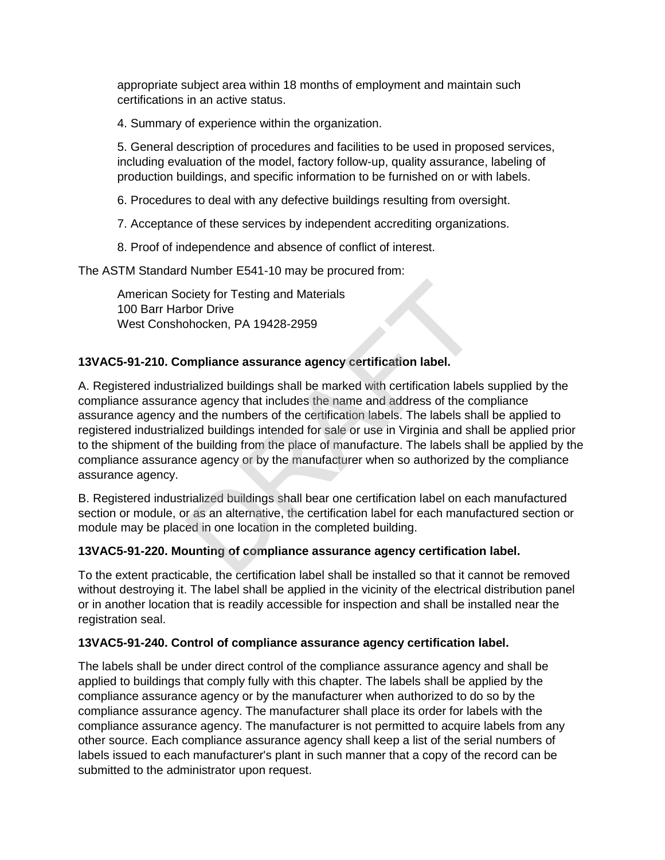appropriate subject area within 18 months of employment and maintain such certifications in an active status.

4. Summary of experience within the organization.

5. General description of procedures and facilities to be used in proposed services, including evaluation of the model, factory follow-up, quality assurance, labeling of production buildings, and specific information to be furnished on or with labels.

6. Procedures to deal with any defective buildings resulting from oversight.

- 7. Acceptance of these services by independent accrediting organizations.
- 8. Proof of independence and absence of conflict of interest.

The ASTM Standard Number E541-10 may be procured from:

American Society for Testing and Materials 100 Barr Harbor Drive West Conshohocken, PA 19428-2959

## **13VAC5-91-210. Compliance assurance agency certification label.**

A. Registered industrialized buildings shall be marked with certification labels supplied by the compliance assurance agency that includes the name and address of the compliance assurance agency and the numbers of the certification labels. The labels shall be applied to registered industrialized buildings intended for sale or use in Virginia and shall be applied prior to the shipment of the building from the place of manufacture. The labels shall be applied by the compliance assurance agency or by the manufacturer when so authorized by the compliance assurance agency. ciety for Testing and Materials<br>bor Drive<br>bhocken, PA 19428-2959<br>smpliance assurance agency certification label.<br>rialized buildings shall be marked with certification labels<br>ce agency that includes the name and address of

B. Registered industrialized buildings shall bear one certification label on each manufactured section or module, or as an alternative, the certification label for each manufactured section or module may be placed in one location in the completed building.

## **13VAC5-91-220. Mounting of compliance assurance agency certification label.**

To the extent practicable, the certification label shall be installed so that it cannot be removed without destroying it. The label shall be applied in the vicinity of the electrical distribution panel or in another location that is readily accessible for inspection and shall be installed near the registration seal.

## **13VAC5-91-240. Control of compliance assurance agency certification label.**

The labels shall be under direct control of the compliance assurance agency and shall be applied to buildings that comply fully with this chapter. The labels shall be applied by the compliance assurance agency or by the manufacturer when authorized to do so by the compliance assurance agency. The manufacturer shall place its order for labels with the compliance assurance agency. The manufacturer is not permitted to acquire labels from any other source. Each compliance assurance agency shall keep a list of the serial numbers of labels issued to each manufacturer's plant in such manner that a copy of the record can be submitted to the administrator upon request.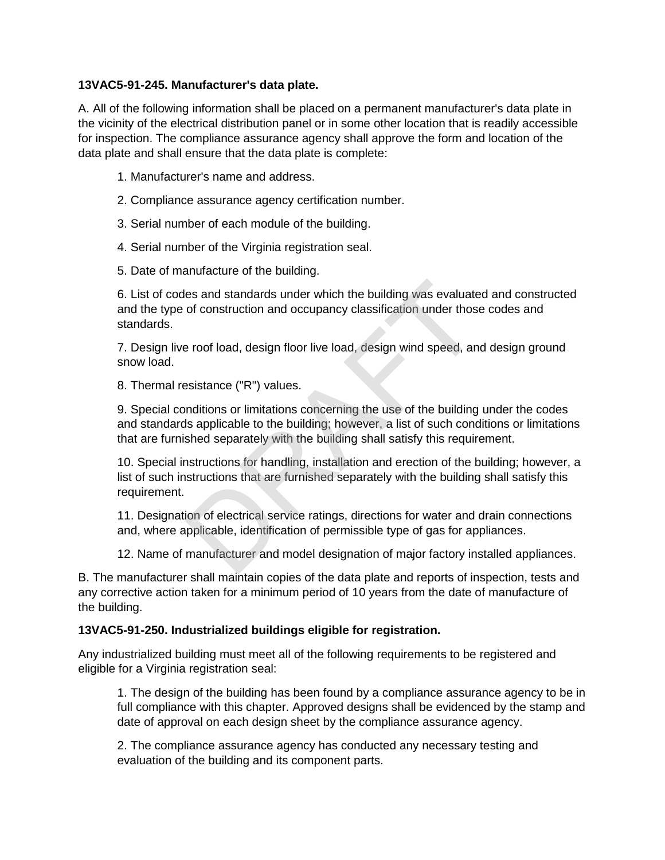## **13VAC5-91-245. Manufacturer's data plate.**

A. All of the following information shall be placed on a permanent manufacturer's data plate in the vicinity of the electrical distribution panel or in some other location that is readily accessible for inspection. The compliance assurance agency shall approve the form and location of the data plate and shall ensure that the data plate is complete:

- 1. Manufacturer's name and address.
- 2. Compliance assurance agency certification number.
- 3. Serial number of each module of the building.
- 4. Serial number of the Virginia registration seal.
- 5. Date of manufacture of the building.

6. List of codes and standards under which the building was evaluated and constructed and the type of construction and occupancy classification under those codes and standards. es and standards under which the building was evaluate<br>of construction and occupancy classification under those<br>a roof load, design floor live load, design wind speed, an<br>esistance ("R") values.<br>multions or limitations con

7. Design live roof load, design floor live load, design wind speed, and design ground snow load.

8. Thermal resistance ("R") values.

9. Special conditions or limitations concerning the use of the building under the codes and standards applicable to the building; however, a list of such conditions or limitations that are furnished separately with the building shall satisfy this requirement.

10. Special instructions for handling, installation and erection of the building; however, a list of such instructions that are furnished separately with the building shall satisfy this requirement.

11. Designation of electrical service ratings, directions for water and drain connections and, where applicable, identification of permissible type of gas for appliances.

12. Name of manufacturer and model designation of major factory installed appliances.

B. The manufacturer shall maintain copies of the data plate and reports of inspection, tests and any corrective action taken for a minimum period of 10 years from the date of manufacture of the building.

#### **13VAC5-91-250. Industrialized buildings eligible for registration.**

Any industrialized building must meet all of the following requirements to be registered and eligible for a Virginia registration seal:

1. The design of the building has been found by a compliance assurance agency to be in full compliance with this chapter. Approved designs shall be evidenced by the stamp and date of approval on each design sheet by the compliance assurance agency.

2. The compliance assurance agency has conducted any necessary testing and evaluation of the building and its component parts.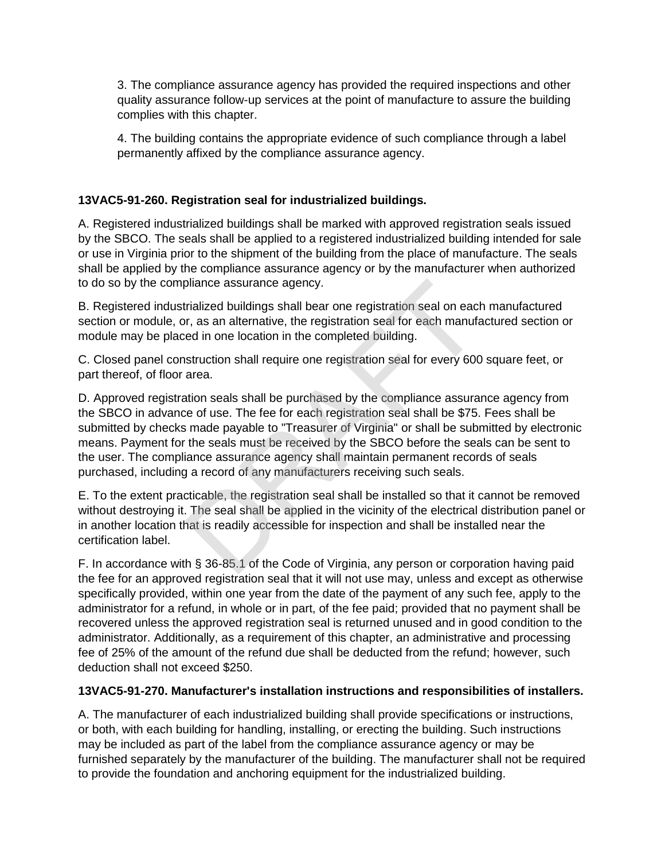3. The compliance assurance agency has provided the required inspections and other quality assurance follow-up services at the point of manufacture to assure the building complies with this chapter.

4. The building contains the appropriate evidence of such compliance through a label permanently affixed by the compliance assurance agency.

# **13VAC5-91-260. Registration seal for industrialized buildings.**

A. Registered industrialized buildings shall be marked with approved registration seals issued by the SBCO. The seals shall be applied to a registered industrialized building intended for sale or use in Virginia prior to the shipment of the building from the place of manufacture. The seals shall be applied by the compliance assurance agency or by the manufacturer when authorized to do so by the compliance assurance agency.

B. Registered industrialized buildings shall bear one registration seal on each manufactured section or module, or, as an alternative, the registration seal for each manufactured section or module may be placed in one location in the completed building.

C. Closed panel construction shall require one registration seal for every 600 square feet, or part thereof, of floor area.

D. Approved registration seals shall be purchased by the compliance assurance agency from the SBCO in advance of use. The fee for each registration seal shall be \$75. Fees shall be submitted by checks made payable to "Treasurer of Virginia" or shall be submitted by electronic means. Payment for the seals must be received by the SBCO before the seals can be sent to the user. The compliance assurance agency shall maintain permanent records of seals purchased, including a record of any manufacturers receiving such seals. bliance assurance agency.<br>
Fialized buildings shall bear one registration seal on eacler, as an alternative, the registration seal for each manufated in one location in the completed building.<br>
Struction shall require one

E. To the extent practicable, the registration seal shall be installed so that it cannot be removed without destroying it. The seal shall be applied in the vicinity of the electrical distribution panel or in another location that is readily accessible for inspection and shall be installed near the certification label.

F. In accordance with § 36-85.1 of the Code of Virginia, any person or corporation having paid the fee for an approved registration seal that it will not use may, unless and except as otherwise specifically provided, within one year from the date of the payment of any such fee, apply to the administrator for a refund, in whole or in part, of the fee paid; provided that no payment shall be recovered unless the approved registration seal is returned unused and in good condition to the administrator. Additionally, as a requirement of this chapter, an administrative and processing fee of 25% of the amount of the refund due shall be deducted from the refund; however, such deduction shall not exceed \$250.

## **13VAC5-91-270. Manufacturer's installation instructions and responsibilities of installers.**

A. The manufacturer of each industrialized building shall provide specifications or instructions, or both, with each building for handling, installing, or erecting the building. Such instructions may be included as part of the label from the compliance assurance agency or may be furnished separately by the manufacturer of the building. The manufacturer shall not be required to provide the foundation and anchoring equipment for the industrialized building.